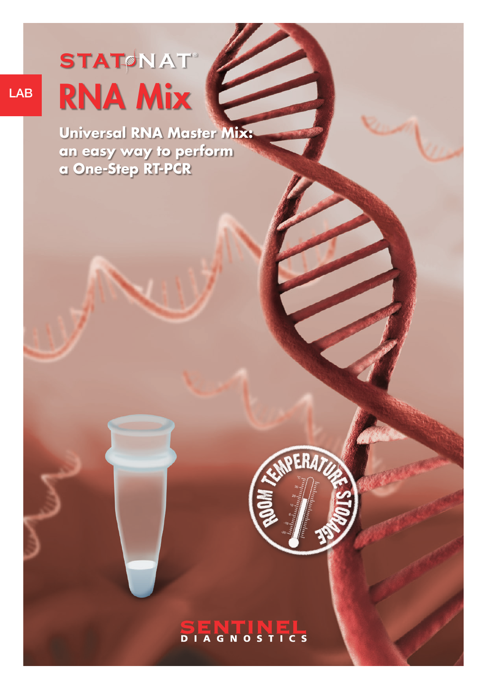# RNA Mix  $STAT$  **NAT**

LAB

**Universal RNA Master Mix: an easy way to perform a One-Step RT-PCR**

### **SENTINEL**

**PERAT**